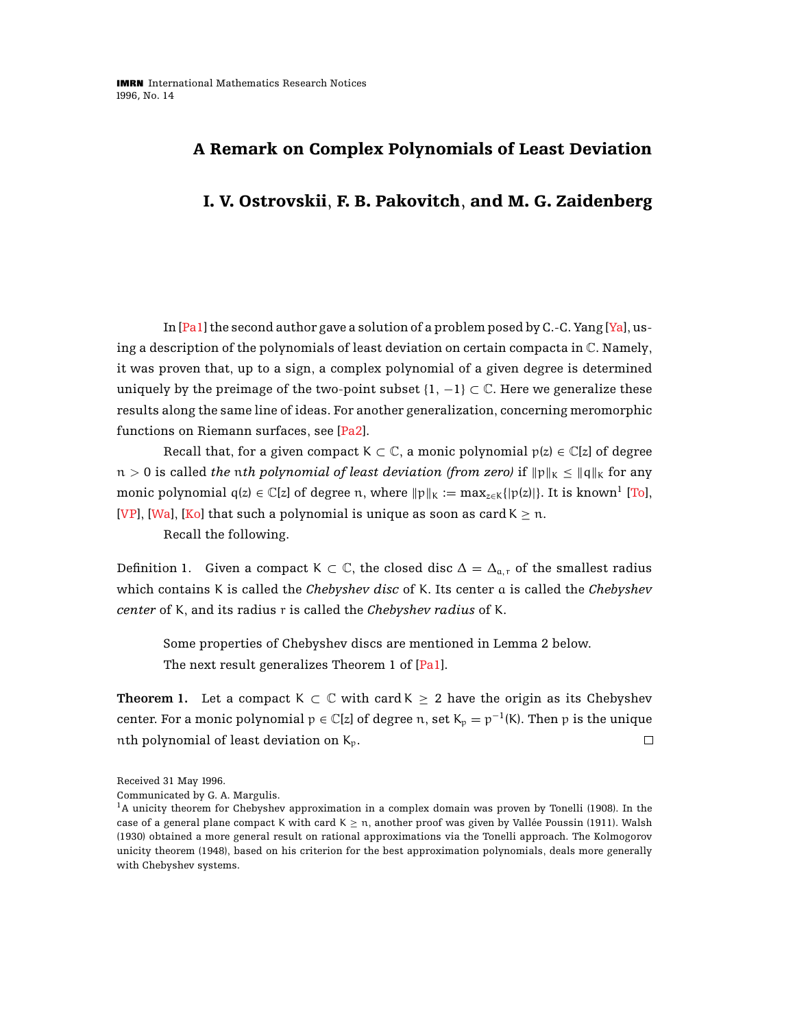## **A Remark on Complex Polynomials of Least Deviation**

## **I. V. Ostrovskii**, **F. B. Pakovitch**, **and M. G. Zaidenberg**

In [\[Pa1\]](#page-4-0) the second author gave a solution of a problem posed by C.-C. Yang [\[Ya\]](#page-4-1), using a description of the polynomials of least deviation on certain compacta in C. Namely, it was proven that, up to a sign, a complex polynomial of a given degree is determined uniquely by the preimage of the two-point subset  $\{1, -1\} \subset \mathbb{C}$ . Here we generalize these results along the same line of ideas. For another generalization, concerning meromorphic functions on Riemann surfaces, see [\[Pa2\]](#page-4-2).

Recall that, for a given compact K  $\subset \mathbb{C}$ , a monic polynomial  $p(z) \in \mathbb{C}[z]$  of degree  $n > 0$  is called *the nth polynomial of least deviation (from zero)* if  $||p||_K \le ||q||_K$  for any monic polynomial  $q(z) \in \mathbb{C}[z]$  of degree n, where  $||p||_K := \max_{z \in K}{|p(z)|}$ . It is known<sup>1</sup> [\[To\]](#page-4-3), [\[VP\]](#page-4-4), [\[Wa\]](#page-4-5), [\[Ko\]](#page-3-0) that such a polynomial is unique as soon as card  $K \ge n$ .

Recall the following.

Definition 1. Given a compact K  $\subset \mathbb{C}$ , the closed disc  $\Delta = \Delta_{a,r}$  of the smallest radius which contains K is called the *Chebyshev disc* of K. Its center a is called the *Chebyshev center* of K, and its radius r is called the *Chebyshev radius* of K.

Some properties of Chebyshev discs are mentioned in Lemma 2 below. The next result generalizes Theorem 1 of [\[Pa1\]](#page-4-0).

**Theorem 1.** Let a compact K  $\subset \mathbb{C}$  with card K  $\geq 2$  have the origin as its Chebyshev center. For a monic polynomial  $p \in \mathbb{C}[z]$  of degree n, set  $K_p = p^{-1}(K)$ . Then p is the unique nth polynomial of least deviation on  $K_p$ .  $\Box$ 

Received 31 May 1996.

Communicated by G. A. Margulis.

<sup>1</sup>A unicity theorem for Chebyshev approximation in a complex domain was proven by Tonelli (1908). In the case of a general plane compact K with card  $K \ge n$ , another proof was given by Vallée Poussin (1911). Walsh (1930) obtained a more general result on rational approximations via the Tonelli approach. The Kolmogorov unicity theorem (1948), based on his criterion for the best approximation polynomials, deals more generally with Chebyshev systems.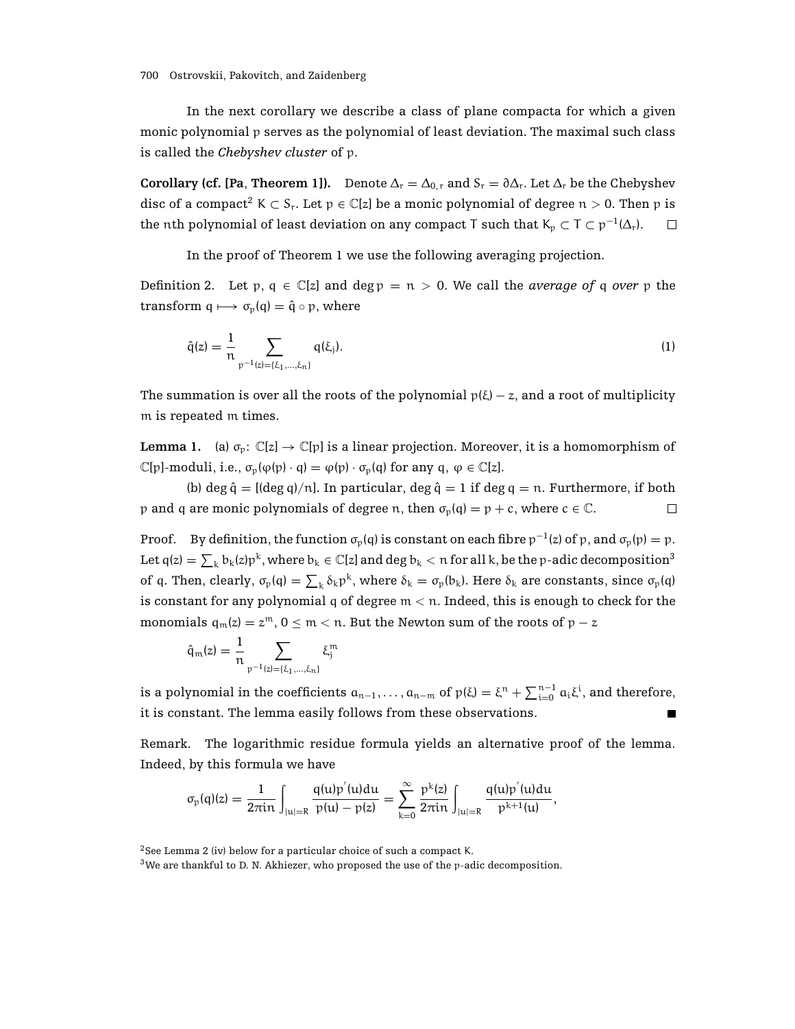In the next corollary we describe a class of plane compacta for which a given monic polynomial p serves as the polynomial of least deviation. The maximal such class is called the *Chebyshev cluster* of p.

**Corollary (cf. [Pa, Theorem 1]).** Denote  $\Delta_r = \Delta_{0,r}$  and  $S_r = \partial \Delta_r$ . Let  $\Delta_r$  be the Chebyshev disc of a compact<sup>2</sup> K  $\subset$  S<sub>r</sub>. Let  $p \in \mathbb{C}[z]$  be a monic polynomial of degree  $n > 0$ . Then p is the nth polynomial of least deviation on any compact T such that  $K_p \subset T \subset p^{-1}(\Delta_r)$ .  $\Box$ 

In the proof of Theorem 1 we use the following averaging projection.

Definition 2. Let p,  $q \in \mathbb{C}[z]$  and deg  $p = n > 0$ . We call the *average of* q *over* p the transform  $q \mapsto \sigma_p(q) = \hat{q} \circ p$ , where

$$
\hat{q}(z) = \frac{1}{n} \sum_{p^{-1}(z) = \{\xi_1, ..., \xi_n\}} q(\xi_j). \tag{1}
$$

The summation is over all the roots of the polynomial  $p(\xi) - z$ , and a root of multiplicity m is repeated m times.

**Lemma 1.** (a)  $\sigma_p$ :  $\mathbb{C}[z] \to \mathbb{C}[p]$  is a linear projection. Moreover, it is a homomorphism of  $\mathbb{C}[p]$ -moduli, i.e.,  $\sigma_p(\varphi(p) \cdot q) = \varphi(p) \cdot \sigma_p(q)$  for any  $q, \varphi \in \mathbb{C}[z]$ .

(b) deg  $\hat{q} = [(\text{deg } q)/n]$ . In particular, deg  $\hat{q} = 1$  if deg  $q = n$ . Furthermore, if both p and q are monic polynomials of degree n, then  $\sigma_p(q) = p + c$ , where  $c \in \mathbb{C}$ .  $\Box$ 

Proof. By definition, the function  $\sigma_p(q)$  is constant on each fibre  $p^{-1}(z)$  of p, and  $\sigma_p(p) = p$ . Let  $\frak q(z)=\sum_k \frak b_k(z) \frak p^k,$  where  $\frak b_k\in \Bbb C[z]$  and  $\deg \frak b_k< n$  for all  $k,$  be the  $\frak p$ -adic decomposition $^3$ of q. Then, clearly,  $\sigma_p(q) = \sum_k \delta_k p^k$ , where  $\delta_k = \sigma_p(b_k)$ . Here  $\delta_k$  are constants, since  $\sigma_p(q)$ is constant for any polynomial q of degree  $m < n$ . Indeed, this is enough to check for the monomials  $q_m(z) = z^m$ ,  $0 \le m < n$ . But the Newton sum of the roots of  $p - z$ 

$$
\hat{q}_m(z)=\frac{1}{n}\sum_{p^{-1}(z)=\{\xi_1,...,\xi_n\}}\xi_j^m
$$

is a polynomial in the coefficients  $a_{n-1},\ldots,a_{n-m}$  of  $p(\xi)=\xi^n+\sum_{i=0}^{n-1}a_i\xi^i,$  and therefore, it is constant. The lemma easily follows from these observations.

Remark. The logarithmic residue formula yields an alternative proof of the lemma. Indeed, by this formula we have

$$
\sigma_p(q)(z)=\frac{1}{2\pi in}\int_{|u|=R}\frac{q(u)p^{'}(u)du}{p(u)-p(z)}=\sum_{k=0}^{\infty}\frac{p^k(z)}{2\pi in}\int_{|u|=R}\frac{q(u)p^{'}(u)du}{p^{k+1}(u)},
$$

<sup>2</sup>See Lemma 2 (iv) below for a particular choice of such a compact K.

 $3$ We are thankful to D. N. Akhiezer, who proposed the use of the p-adic decomposition.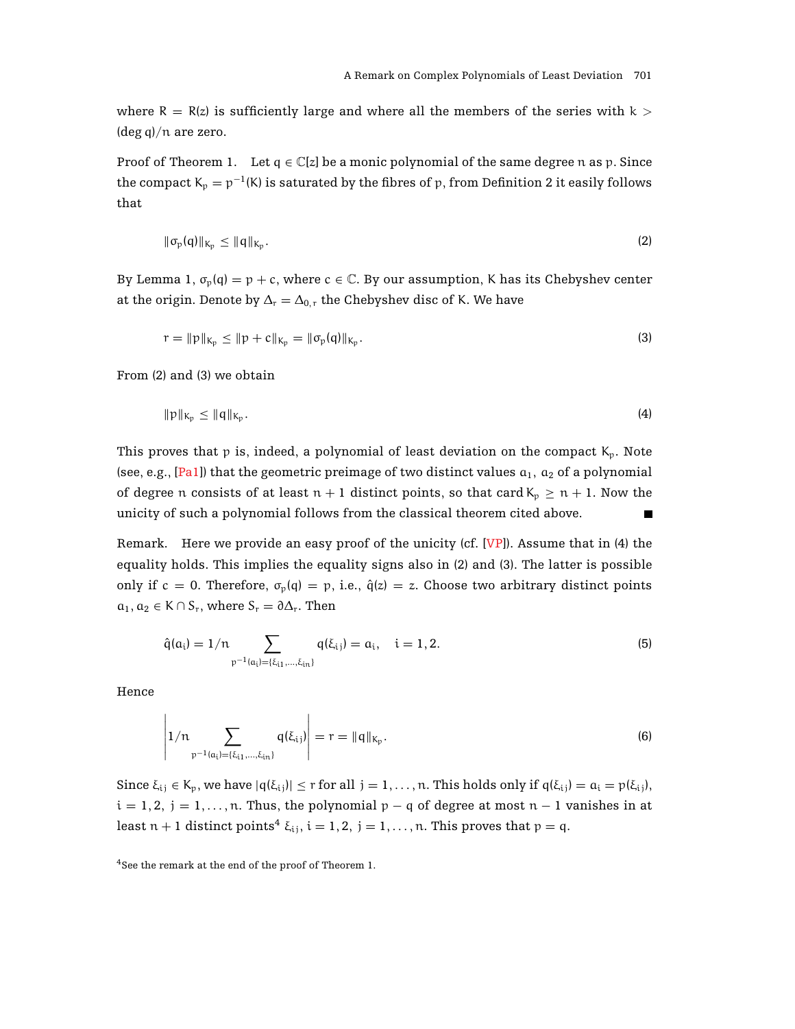where  $R = R(z)$  is sufficiently large and where all the members of the series with  $k >$  $(\text{deg } q)/n$  are zero.

Proof of Theorem 1. Let  $q \in \mathbb{C}[z]$  be a monic polynomial of the same degree n as p. Since the compact  $K_p = p^{-1}(K)$  is saturated by the fibres of p, from Definition 2 it easily follows that

$$
\|\sigma_{\mathfrak{p}}(q)\|_{K_{\mathfrak{p}}} \le \|q\|_{K_{\mathfrak{p}}}.\tag{2}
$$

By Lemma 1,  $\sigma_p(q) = p + c$ , where  $c \in \mathbb{C}$ . By our assumption, K has its Chebyshev center at the origin. Denote by  $\Delta_r = \Delta_{0,r}$  the Chebyshev disc of K. We have

$$
r = ||p||_{K_p} \le ||p + c||_{K_p} = ||\sigma_p(q)||_{K_p}.
$$
\n(3)

From (2) and (3) we obtain

$$
\|p\|_{K_p} \le \|q\|_{K_p}.\tag{4}
$$

This proves that p is, indeed, a polynomial of least deviation on the compact  $K_p$ . Note (see, e.g., [\[Pa1\]](#page-4-0)) that the geometric preimage of two distinct values  $a_1$ ,  $a_2$  of a polynomial of degree n consists of at least  $n + 1$  distinct points, so that card  $K_p \ge n + 1$ . Now the unicity of such a polynomial follows from the classical theorem cited above.  $\blacksquare$ 

Remark. Here we provide an easy proof of the unicity (cf. [\[VP\]](#page-4-4)). Assume that in (4) the equality holds. This implies the equality signs also in (2) and (3). The latter is possible only if c = 0. Therefore,  $\sigma_p(q) = p$ , i.e.,  $\hat{q}(z) = z$ . Choose two arbitrary distinct points  $a_1, a_2 \in K \cap S_r$ , where  $S_r = \partial \Delta_r$ . Then

$$
\hat{q}(a_i) = 1/n \sum_{p^{-1}(a_i) = \{\xi_{i1}, \dots, \xi_{in}\}} q(\xi_{i,j}) = a_i, \quad i = 1, 2.
$$
\n(5)

Hence

$$
\left|1/n\sum_{p^{-1}(a_i)=\{\xi_{i1},\dots,\xi_{in}\}}q(\xi_{i,j})\right|=r=\|q\|_{K_p}.
$$
\n(6)

Since  $\xi_{ij} \in K_p$ , we have  $|q(\xi_{ij})| \le r$  for all  $j = 1, ..., n$ . This holds only if  $q(\xi_{ij}) = a_i = p(\xi_{ij})$ ,  $i = 1, 2, j = 1, \ldots, n$ . Thus, the polynomial  $p - q$  of degree at most  $n - 1$  vanishes in at least  $n + 1$  distinct points<sup>4</sup>  $\xi_{i,j}$ ,  $i = 1, 2, j = 1, \ldots, n$ . This proves that  $p = q$ .

<sup>4</sup>See the remark at the end of the proof of Theorem 1.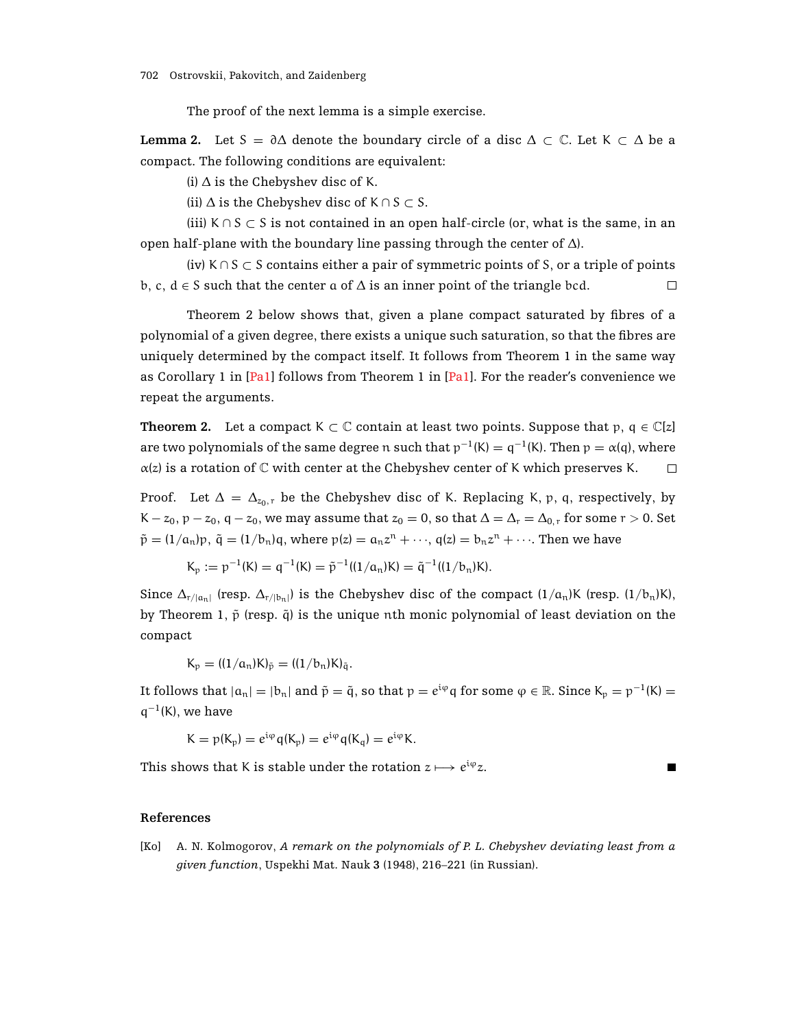The proof of the next lemma is a simple exercise.

**Lemma 2.** Let S =  $\partial \Delta$  denote the boundary circle of a disc  $\Delta \subset \mathbb{C}$ . Let K  $\subset \Delta$  be a compact. The following conditions are equivalent:

(i)  $\Delta$  is the Chebyshev disc of K.

(ii)  $\Delta$  is the Chebyshev disc of K ∩ S  $\subset$  S.

(iii)  $K \cap S \subset S$  is not contained in an open half-circle (or, what is the same, in an open half-plane with the boundary line passing through the center of  $Δ$ ).

(iv)  $K \cap S \subset S$  contains either a pair of symmetric points of S, or a triple of points b, c,  $d \in S$  such that the center a of  $\Delta$  is an inner point of the triangle bcd.  $\Box$ 

Theorem 2 below shows that, given a plane compact saturated by fibres of a polynomial of a given degree, there exists a unique such saturation, so that the fibres are uniquely determined by the compact itself. It follows from Theorem 1 in the same way as Corollary 1 in  $[Pal]$  follows from Theorem 1 in  $[Pal]$ . For the reader's convenience we repeat the arguments.

**Theorem 2.** Let a compact K  $\subset \mathbb{C}$  contain at least two points. Suppose that p,  $q \in \mathbb{C}[z]$ are two polynomials of the same degree n such that  $p^{-1}(K) = q^{-1}(K)$ . Then  $p = \alpha(q)$ , where  $\alpha(z)$  is a rotation of C with center at the Chebyshev center of K which preserves K.  $\Box$ 

Proof. Let  $\Delta = \Delta_{z_0, r}$  be the Chebyshev disc of K. Replacing K, p, q, respectively, by K –  $z_0$ ,  $p - z_0$ ,  $q - z_0$ , we may assume that  $z_0 = 0$ , so that  $\Delta = \Delta_r = \Delta_{0,r}$  for some  $r > 0$ . Set  $\tilde{p} = (1/a_n)p$ ,  $\tilde{q} = (1/b_n)q$ , where  $p(z) = a_n z^n + \cdots$ ,  $q(z) = b_n z^n + \cdots$ . Then we have

$$
K_p := p^{-1}(K) = q^{-1}(K) = \tilde{p}^{-1}((1/a_n)K) = \tilde{q}^{-1}((1/b_n)K).
$$

Since  $\Delta_{r/(a_n)}$  (resp.  $\Delta_{r/(b_n)}$ ) is the Chebyshev disc of the compact  $(1/a_n)K$  (resp.  $(1/b_n)K$ ), by Theorem 1,  $\tilde{p}$  (resp.  $\tilde{q}$ ) is the unique nth monic polynomial of least deviation on the compact

 $K_p = ((1/a_n)K)_{\tilde{p}} = ((1/b_n)K)_{\tilde{q}}$ .

It follows that  $|a_n|=|b_n|$  and  $\tilde{p}=\tilde{q}$ , so that  $p=e^{i\varphi}q$  for some  $\varphi \in \mathbb{R}$ . Since  $K_p = p^{-1}(K)$  =  $q^{-1}(K)$ , we have

$$
K = p(K_p) = e^{i\phi} q(K_p) = e^{i\phi} q(K_q) = e^{i\phi} K.
$$

<span id="page-3-0"></span>This shows that K is stable under the rotation  $z \mapsto e^{i\varphi}z$ .

 $\blacksquare$ 

## **References**

[Ko] A. N. Kolmogorov, *A remark on the polynomials of P. L. Chebyshev deviating least from a given function*, Uspekhi Mat. Nauk **3** (1948), 216–221 (in Russian).